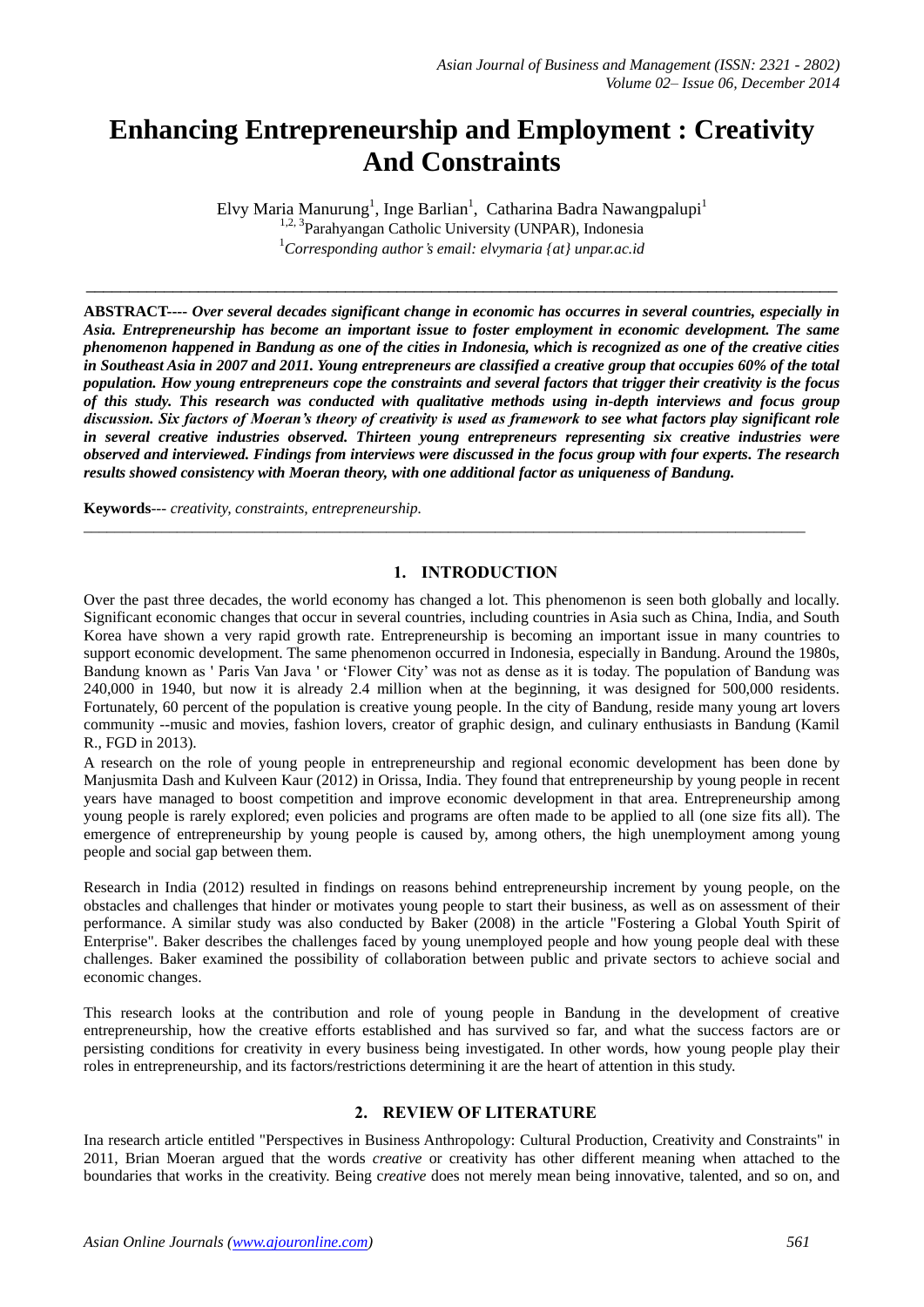# **Enhancing Entrepreneurship and Employment : Creativity And Constraints**

Elvy Maria Manurung<sup>1</sup>, Inge Barlian<sup>1</sup>, Catharina Badra Nawangpalupi<sup>1</sup> <sup>1,2, 3</sup>Parahyangan Catholic University (UNPAR), Indonesia <sup>1</sup>*Corresponding author's email: elvymaria {at} unpar.ac.id*

 $\_$  , and the set of the set of the set of the set of the set of the set of the set of the set of the set of the set of the set of the set of the set of the set of the set of the set of the set of the set of the set of th

**ABSTRACT----** *Over several decades significant change in economic has occurres in several countries, especially in Asia. Entrepreneurship has become an important issue to foster employment in economic development. The same phenomenon happened in Bandung as one of the cities in Indonesia, which is recognized as one of the creative cities in Southeast Asia in 2007 and 2011. Young entrepreneurs are classified a creative group that occupies 60% of the total population. How young entrepreneurs cope the constraints and several factors that trigger their creativity is the focus of this study. This research was conducted with qualitative methods using in-depth interviews and focus group discussion. Six factors of Moeran's theory of creativity is used as framework to see what factors play significant role in several creative industries observed. Thirteen young entrepreneurs representing six creative industries were observed and interviewed. Findings from interviews were discussed in the focus group with four experts. The research results showed consistency with Moeran theory, with one additional factor as uniqueness of Bandung.* 

**Keywords**--- *creativity, constraints, entrepreneurship.*

## **1. INTRODUCTION**

*\_\_\_\_\_\_\_\_\_\_\_\_\_\_\_\_\_\_\_\_\_\_\_\_\_\_\_\_\_\_\_\_\_\_\_\_\_\_\_\_\_\_\_\_\_\_\_\_\_\_\_\_\_\_\_\_\_\_\_\_\_\_\_\_\_\_\_\_\_\_\_\_\_\_\_\_\_\_\_\_\_\_\_\_\_\_\_\_\_\_\_\_\_*

Over the past three decades, the world economy has changed a lot. This phenomenon is seen both globally and locally. Significant economic changes that occur in several countries, including countries in Asia such as China, India, and South Korea have shown a very rapid growth rate. Entrepreneurship is becoming an important issue in many countries to support economic development. The same phenomenon occurred in Indonesia, especially in Bandung. Around the 1980s, Bandung known as ' Paris Van Java ' or 'Flower City' was not as dense as it is today. The population of Bandung was 240,000 in 1940, but now it is already 2.4 million when at the beginning, it was designed for 500,000 residents. Fortunately, 60 percent of the population is creative young people. In the city of Bandung, reside many young art lovers community --music and movies, fashion lovers, creator of graphic design, and culinary enthusiasts in Bandung (Kamil R., FGD in 2013).

A research on the role of young people in entrepreneurship and regional economic development has been done by Manjusmita Dash and Kulveen Kaur (2012) in Orissa, India. They found that entrepreneurship by young people in recent years have managed to boost competition and improve economic development in that area. Entrepreneurship among young people is rarely explored; even policies and programs are often made to be applied to all (one size fits all). The emergence of entrepreneurship by young people is caused by, among others, the high unemployment among young people and social gap between them.

Research in India (2012) resulted in findings on reasons behind entrepreneurship increment by young people, on the obstacles and challenges that hinder or motivates young people to start their business, as well as on assessment of their performance. A similar study was also conducted by Baker (2008) in the article "Fostering a Global Youth Spirit of Enterprise". Baker describes the challenges faced by young unemployed people and how young people deal with these challenges. Baker examined the possibility of collaboration between public and private sectors to achieve social and economic changes.

This research looks at the contribution and role of young people in Bandung in the development of creative entrepreneurship, how the creative efforts established and has survived so far, and what the success factors are or persisting conditions for creativity in every business being investigated. In other words, how young people play their roles in entrepreneurship, and its factors/restrictions determining it are the heart of attention in this study.

## **2. REVIEW OF LITERATURE**

Ina research article entitled "Perspectives in Business Anthropology: Cultural Production, Creativity and Constraints" in 2011, Brian Moeran argued that the words *creative* or creativity has other different meaning when attached to the boundaries that works in the creativity. Being c*reative* does not merely mean being innovative, talented, and so on, and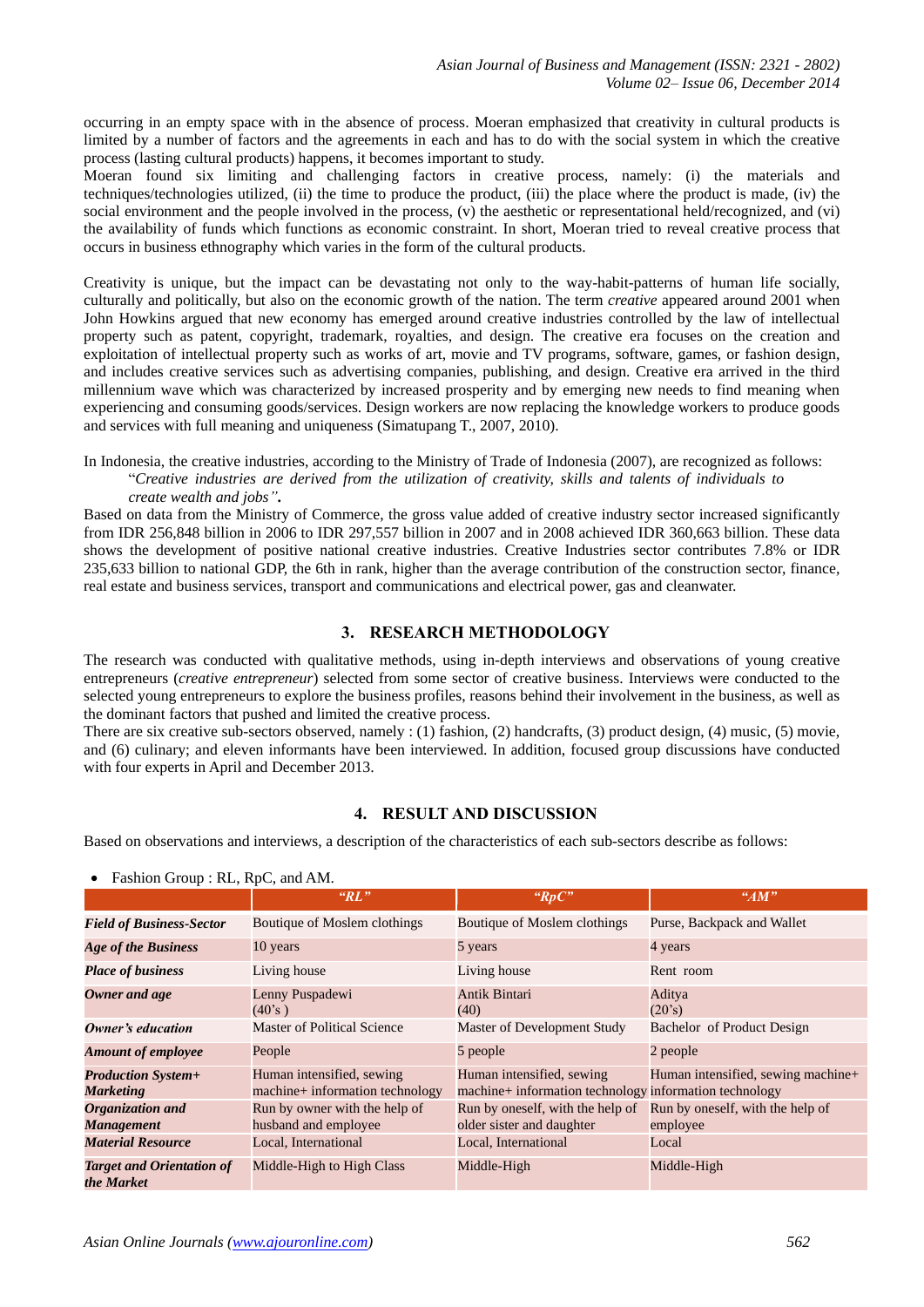occurring in an empty space with in the absence of process. Moeran emphasized that creativity in cultural products is limited by a number of factors and the agreements in each and has to do with the social system in which the creative process (lasting cultural products) happens, it becomes important to study.

Moeran found six limiting and challenging factors in creative process, namely: (i) the materials and techniques/technologies utilized, (ii) the time to produce the product, (iii) the place where the product is made, (iv) the social environment and the people involved in the process, (v) the aesthetic or representational held/recognized, and (vi) the availability of funds which functions as economic constraint. In short, Moeran tried to reveal creative process that occurs in business ethnography which varies in the form of the cultural products.

Creativity is unique, but the impact can be devastating not only to the way-habit-patterns of human life socially, culturally and politically, but also on the economic growth of the nation. The term *creative* appeared around 2001 when John Howkins argued that new economy has emerged around creative industries controlled by the law of intellectual property such as patent, copyright, trademark, royalties, and design. The creative era focuses on the creation and exploitation of intellectual property such as works of art, movie and TV programs, software, games, or fashion design, and includes creative services such as advertising companies, publishing, and design. Creative era arrived in the third millennium wave which was characterized by increased prosperity and by emerging new needs to find meaning when experiencing and consuming goods/services. Design workers are now replacing the knowledge workers to produce goods and services with full meaning and uniqueness (Simatupang T., 2007, 2010).

In Indonesia, the creative industries, according to the Ministry of Trade of Indonesia (2007), are recognized as follows: "*Creative industries are derived from the utilization of creativity, skills and talents of individuals to create wealth and jobs"***.** 

Based on data from the Ministry of Commerce, the gross value added of creative industry sector increased significantly from IDR 256,848 billion in 2006 to IDR 297,557 billion in 2007 and in 2008 achieved IDR 360,663 billion. These data shows the development of positive national creative industries. Creative Industries sector contributes 7.8% or IDR 235,633 billion to national GDP, the 6th in rank, higher than the average contribution of the construction sector, finance, real estate and business services, transport and communications and electrical power, gas and cleanwater.

## **3. RESEARCH METHODOLOGY**

The research was conducted with qualitative methods, using in-depth interviews and observations of young creative entrepreneurs (*creative entrepreneur*) selected from some sector of creative business. Interviews were conducted to the selected young entrepreneurs to explore the business profiles, reasons behind their involvement in the business, as well as the dominant factors that pushed and limited the creative process.

There are six creative sub-sectors observed, namely : (1) fashion, (2) handcrafts, (3) product design, (4) music, (5) movie, and (6) culinary; and eleven informants have been interviewed. In addition, focused group discussions have conducted with four experts in April and December 2013.

# **4. RESULT AND DISCUSSION**

Based on observations and interviews, a description of the characteristics of each sub-sectors describe as follows:

| I assiton Group. R.L., R.p.C., and Aivi.       |                                                              |                                                                                     |                                              |  |
|------------------------------------------------|--------------------------------------------------------------|-------------------------------------------------------------------------------------|----------------------------------------------|--|
|                                                | "RL"                                                         | "RpC"                                                                               | "AM"                                         |  |
| <b>Field of Business-Sector</b>                | <b>Boutique of Moslem clothings</b>                          | Boutique of Moslem clothings                                                        | Purse, Backpack and Wallet                   |  |
| <b>Age of the Business</b>                     | 10 years                                                     | 5 years                                                                             | 4 years                                      |  |
| <b>Place of business</b>                       | Living house                                                 | Living house                                                                        | Rent room                                    |  |
| Owner and age                                  | Lenny Puspadewi<br>(40's)                                    | Antik Bintari<br>(40)                                                               | Aditya<br>(20's)                             |  |
| <b>Owner's education</b>                       | Master of Political Science                                  | Master of Development Study                                                         | Bachelor of Product Design                   |  |
| <b>Amount of employee</b>                      | People                                                       | 5 people                                                                            | 2 people                                     |  |
| <b>Production System+</b><br><b>Marketing</b>  | Human intensified, sewing<br>machine+ information technology | Human intensified, sewing<br>machine+ information technology information technology | Human intensified, sewing machine+           |  |
| Organization and<br><b>Management</b>          | Run by owner with the help of<br>husband and employee        | Run by oneself, with the help of<br>older sister and daughter                       | Run by oneself, with the help of<br>employee |  |
| <b>Material Resource</b>                       | Local, International                                         | Local, International                                                                | Local                                        |  |
| <b>Target and Orientation of</b><br>the Market | Middle-High to High Class                                    | Middle-High                                                                         | Middle-High                                  |  |

Fashion Group . RL, RpC, and AM.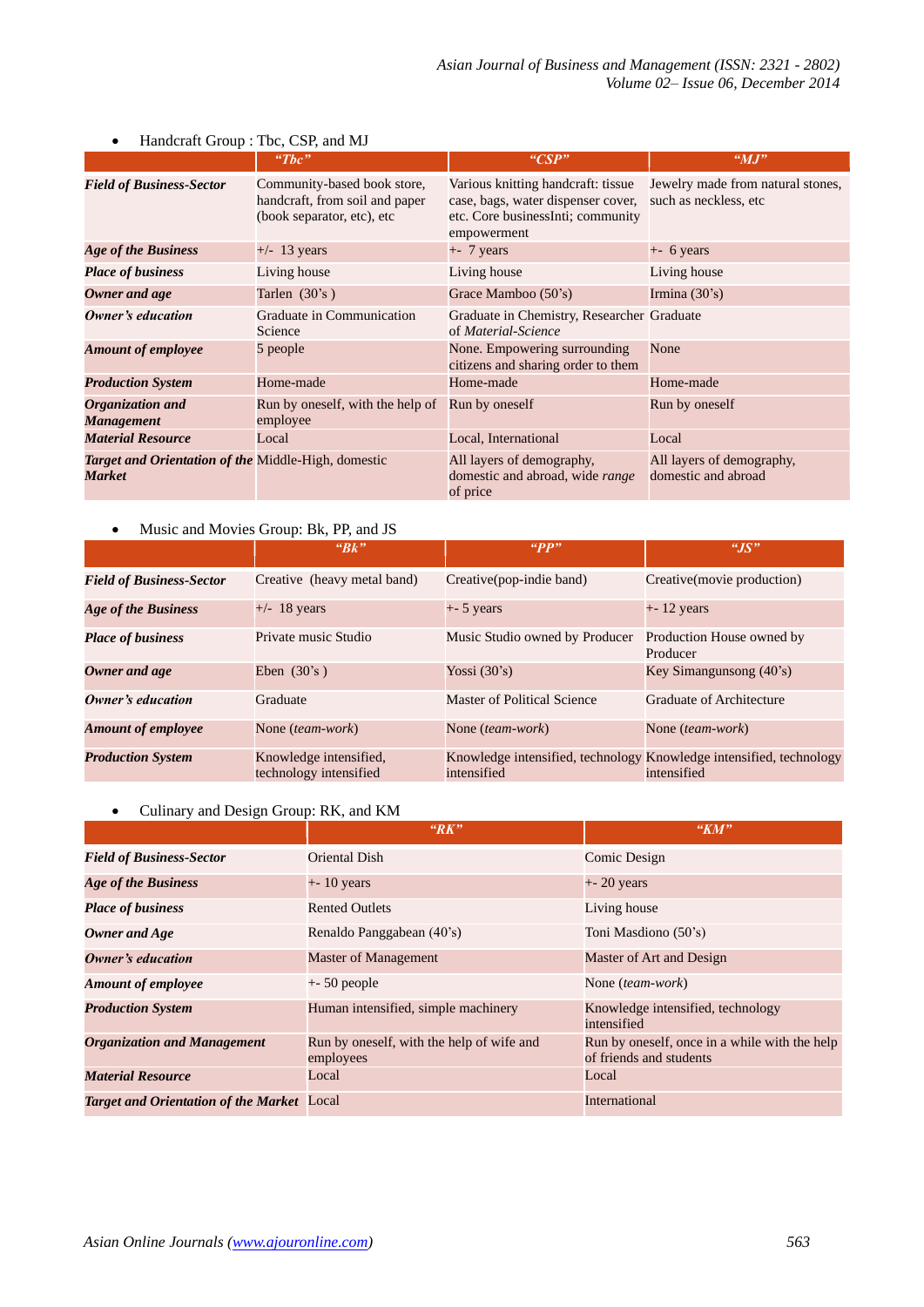|                                                               | " $The$ "                                                                                   | "CSP"                                                                                                                        | $^{\omega}MJ^{\omega}$                                     |
|---------------------------------------------------------------|---------------------------------------------------------------------------------------------|------------------------------------------------------------------------------------------------------------------------------|------------------------------------------------------------|
| <b>Field of Business-Sector</b>                               | Community-based book store,<br>handcraft, from soil and paper<br>(book separator, etc), etc | Various knitting handcraft: tissue<br>case, bags, water dispenser cover,<br>etc. Core businessInti; community<br>empowerment | Jewelry made from natural stones,<br>such as neckless, etc |
| <b>Age of the Business</b>                                    | $+/-$ 13 years                                                                              | $+$ - 7 years                                                                                                                | $+$ - 6 years                                              |
| <b>Place of business</b>                                      | Living house                                                                                | Living house                                                                                                                 | Living house                                               |
| Owner and age                                                 | Tarlen $(30's)$                                                                             | Grace Mamboo (50's)                                                                                                          | Irmina $(30's)$                                            |
| Owner's education                                             | Graduate in Communication<br>Science                                                        | Graduate in Chemistry, Researcher Graduate<br>of Material-Science                                                            |                                                            |
| <b>Amount of employee</b>                                     | 5 people                                                                                    | None. Empowering surrounding<br>citizens and sharing order to them                                                           | None                                                       |
| <b>Production System</b>                                      | Home-made                                                                                   | Home-made                                                                                                                    | Home-made                                                  |
| Organization and<br><b>Management</b>                         | Run by oneself, with the help of<br>employee                                                | Run by oneself                                                                                                               | Run by oneself                                             |
| <b>Material Resource</b>                                      | Local                                                                                       | Local, International                                                                                                         | Local                                                      |
| Target and Orientation of the Middle-High, domestic<br>Market |                                                                                             | All layers of demography,<br>domestic and abroad, wide range<br>of price                                                     | All layers of demography,<br>domestic and abroad           |

## • Handcraft Group : Tbc, CSP, and MJ

# • Music and Movies Group: Bk, PP, and JS

|                                 | "Bk"                                             | "PP"                           | $^{\prime\prime}JS^{\prime\prime}$                                                 |
|---------------------------------|--------------------------------------------------|--------------------------------|------------------------------------------------------------------------------------|
| <b>Field of Business-Sector</b> | Creative (heavy metal band)                      | Creative(pop-indie band)       | Creative(movie production)                                                         |
| <b>Age of the Business</b>      | $+/-$ 18 years                                   | $+$ - 5 years                  | $+ - 12$ years                                                                     |
| <b>Place of business</b>        | Private music Studio                             | Music Studio owned by Producer | Production House owned by<br>Producer                                              |
| Owner and age                   | Eben $(30's)$                                    | Yossi $(30's)$                 | Key Simangunsong $(40)$ 's)                                                        |
| Owner's education               | Graduate                                         | Master of Political Science    | <b>Graduate of Architecture</b>                                                    |
| <b>Amount of employee</b>       | None (team-work)                                 | None <i>(team-work)</i>        | None <i>(team-work)</i>                                                            |
| <b>Production System</b>        | Knowledge intensified,<br>technology intensified | intensified                    | Knowledge intensified, technology Knowledge intensified, technology<br>intensified |

## • Culinary and Design Group: RK, and KM

|                                                   | "RK"                                                   | "KM"                                                                     |
|---------------------------------------------------|--------------------------------------------------------|--------------------------------------------------------------------------|
| <b>Field of Business-Sector</b>                   | Oriental Dish                                          | Comic Design                                                             |
| <b>Age of the Business</b>                        | $+ - 10$ years                                         | $+$ - 20 years                                                           |
| <b>Place of business</b>                          | <b>Rented Outlets</b>                                  | Living house                                                             |
| Owner and Age                                     | Renaldo Panggabean (40's)                              | Toni Masdiono (50's)                                                     |
| Owner's education                                 | <b>Master of Management</b>                            | Master of Art and Design                                                 |
| <b>Amount of employee</b>                         | $+$ - 50 people                                        | None ( <i>team-work</i> )                                                |
| <b>Production System</b>                          | Human intensified, simple machinery                    | Knowledge intensified, technology<br>intensified                         |
| <b>Organization and Management</b>                | Run by oneself, with the help of wife and<br>employees | Run by oneself, once in a while with the help<br>of friends and students |
| <b>Material Resource</b>                          | Local                                                  | Local                                                                    |
| <b>Target and Orientation of the Market</b> Local |                                                        | International                                                            |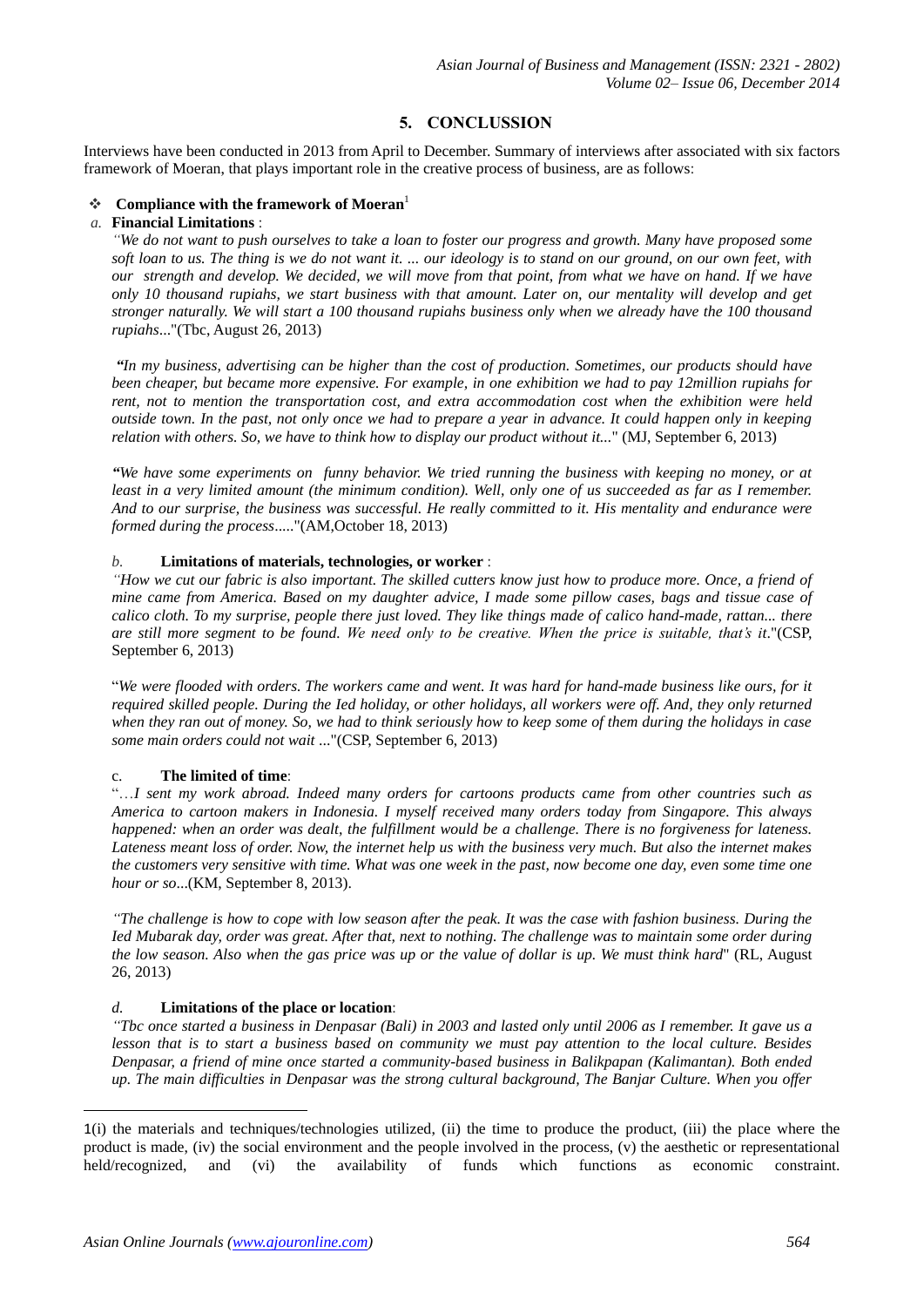# **5. CONCLUSSION**

Interviews have been conducted in 2013 from April to December. Summary of interviews after associated with six factors framework of Moeran, that plays important role in the creative process of business, are as follows:

#### **Compliance with the framework of Moeran**<sup>1</sup>

#### *a.* **Financial Limitations** :

*"We do not want to push ourselves to take a loan to foster our progress and growth. Many have proposed some soft loan to us. The thing is we do not want it. ... our ideology is to stand on our ground, on our own feet, with our strength and develop. We decided, we will move from that point, from what we have on hand. If we have only 10 thousand rupiahs, we start business with that amount. Later on, our mentality will develop and get stronger naturally. We will start a 100 thousand rupiahs business only when we already have the 100 thousand rupiahs*..."(Tbc, August 26, 2013)

*"In my business, advertising can be higher than the cost of production. Sometimes, our products should have been cheaper, but became more expensive. For example, in one exhibition we had to pay 12million rupiahs for rent, not to mention the transportation cost, and extra accommodation cost when the exhibition were held outside town. In the past, not only once we had to prepare a year in advance. It could happen only in keeping relation with others. So, we have to think how to display our product without it...*" (MJ, September 6, 2013)

*"We have some experiments on funny behavior. We tried running the business with keeping no money, or at least in a very limited amount (the minimum condition). Well, only one of us succeeded as far as I remember. And to our surprise, the business was successful. He really committed to it. His mentality and endurance were formed during the process*....."(AM,October 18, 2013)

#### *b.* **Limitations of materials, technologies, or worker** :

*"How we cut our fabric is also important. The skilled cutters know just how to produce more. Once, a friend of mine came from America. Based on my daughter advice, I made some pillow cases, bags and tissue case of calico cloth. To my surprise, people there just loved. They like things made of calico hand-made, rattan... there are still more segment to be found. We need only to be creative. When the price is suitable, that's it*."(CSP, September 6, 2013)

"*We were flooded with orders. The workers came and went. It was hard for hand-made business like ours, for it required skilled people. During the Ied holiday, or other holidays, all workers were off. And, they only returned when they ran out of money. So, we had to think seriously how to keep some of them during the holidays in case some main orders could not wait* ..."(CSP, September 6, 2013)

## c. **The limited of time**:

"…*I sent my work abroad. Indeed many orders for cartoons products came from other countries such as America to cartoon makers in Indonesia. I myself received many orders today from Singapore. This always happened: when an order was dealt, the fulfillment would be a challenge. There is no forgiveness for lateness. Lateness meant loss of order. Now, the internet help us with the business very much. But also the internet makes the customers very sensitive with time. What was one week in the past, now become one day, even some time one hour or so*...(KM, September 8, 2013).

*"The challenge is how to cope with low season after the peak. It was the case with fashion business. During the Ied Mubarak day, order was great. After that, next to nothing. The challenge was to maintain some order during the low season. Also when the gas price was up or the value of dollar is up. We must think hard*" (RL, August 26, 2013)

## *d.* **Limitations of the place or location**:

*"Tbc once started a business in Denpasar (Bali) in 2003 and lasted only until 2006 as I remember. It gave us a lesson that is to start a business based on community we must pay attention to the local culture. Besides Denpasar, a friend of mine once started a community-based business in Balikpapan (Kalimantan). Both ended up. The main difficulties in Denpasar was the strong cultural background, The Banjar Culture. When you offer* 

<u>.</u>

<sup>1</sup>(i) the materials and techniques/technologies utilized, (ii) the time to produce the product, (iii) the place where the product is made, (iv) the social environment and the people involved in the process,  $(v)$  the aesthetic or representational held/recognized, and (vi) the availability of funds which functions as economic constraint.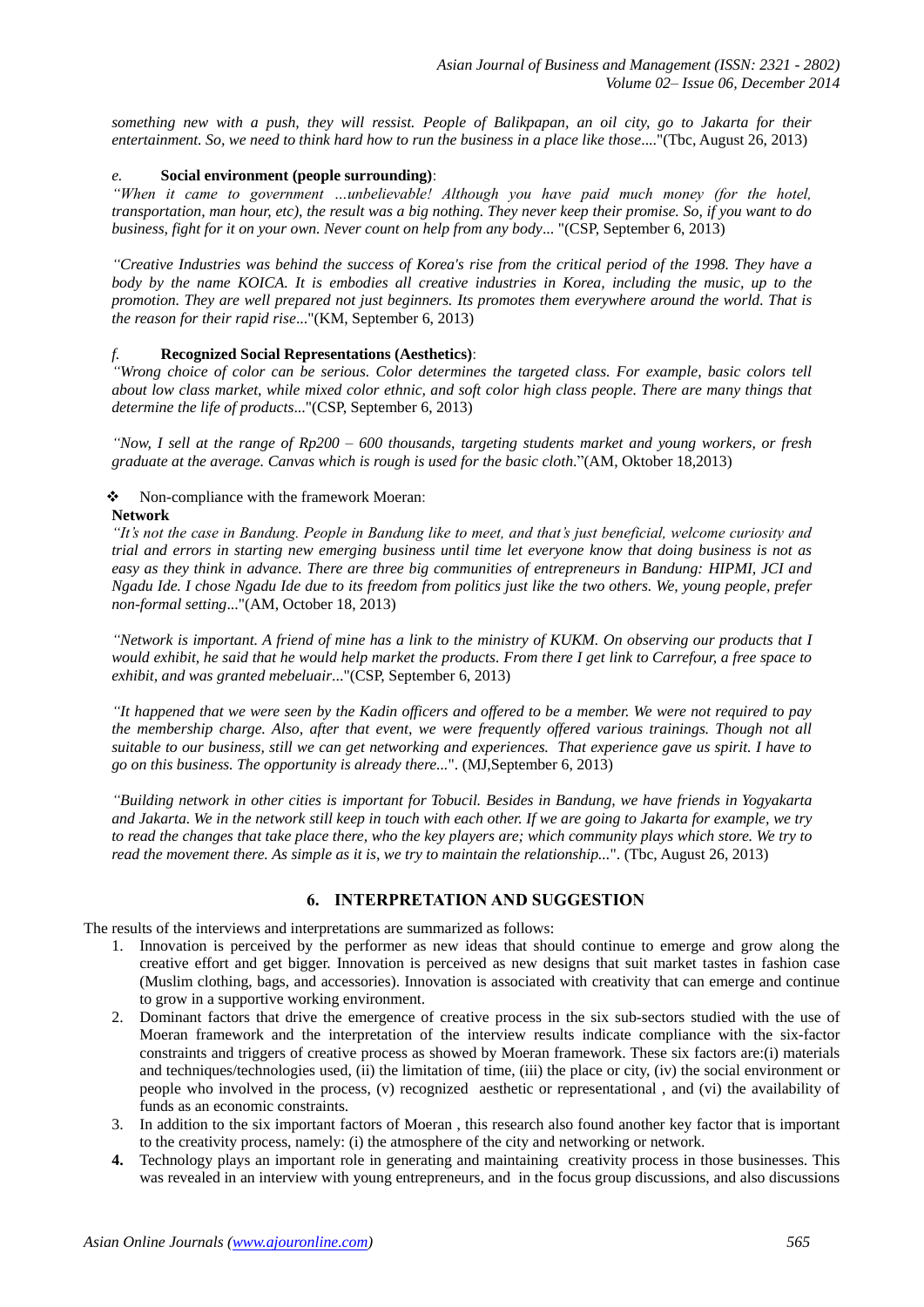*something new with a push, they will ressist. People of Balikpapan, an oil city, go to Jakarta for their entertainment. So, we need to think hard how to run the business in a place like those*...."(Tbc, August 26, 2013)

#### *e.* **Social environment (people surrounding)**:

*"When it came to government …unbelievable! Although you have paid much money (for the hotel, transportation, man hour, etc), the result was a big nothing. They never keep their promise. So, if you want to do business, fight for it on your own. Never count on help from any body*... "(CSP, September 6, 2013)

*"Creative Industries was behind the success of Korea's rise from the critical period of the 1998. They have a body by the name KOICA. It is embodies all creative industries in Korea, including the music, up to the promotion. They are well prepared not just beginners. Its promotes them everywhere around the world. That is the reason for their rapid rise*..."(KM, September 6, 2013)

## *f.* **Recognized Social Representations (Aesthetics)**:

*"Wrong choice of color can be serious. Color determines the targeted class. For example, basic colors tell about low class market, while mixed color ethnic, and soft color high class people. There are many things that determine the life of products*..."(CSP, September 6, 2013)

*"Now, I sell at the range of Rp200 – 600 thousands, targeting students market and young workers, or fresh graduate at the average. Canvas which is rough is used for the basic cloth*."(AM, Oktober 18,2013)

#### • Non-compliance with the framework Moeran:

#### **Network**

*"It's not the case in Bandung. People in Bandung like to meet, and that's just beneficial, welcome curiosity and trial and errors in starting new emerging business until time let everyone know that doing business is not as easy as they think in advance. There are three big communities of entrepreneurs in Bandung: HIPMI, JCI and Ngadu Ide. I chose Ngadu Ide due to its freedom from politics just like the two others. We, young people, prefer non-formal setting*..."(AM, October 18, 2013)

*"Network is important. A friend of mine has a link to the ministry of KUKM. On observing our products that I would exhibit, he said that he would help market the products. From there I get link to Carrefour, a free space to exhibit, and was granted mebeluair*..."(CSP, September 6, 2013)

*"It happened that we were seen by the Kadin officers and offered to be a member. We were not required to pay the membership charge. Also, after that event, we were frequently offered various trainings. Though not all suitable to our business, still we can get networking and experiences. That experience gave us spirit. I have to go on this business. The opportunity is already there...*". (MJ,September 6, 2013)

*"Building network in other cities is important for Tobucil. Besides in Bandung, we have friends in Yogyakarta and Jakarta. We in the network still keep in touch with each other. If we are going to Jakarta for example, we try to read the changes that take place there, who the key players are; which community plays which store. We try to read the movement there. As simple as it is, we try to maintain the relationship...*". (Tbc, August 26, 2013)

### **6. INTERPRETATION AND SUGGESTION**

The results of the interviews and interpretations are summarized as follows:

- 1. Innovation is perceived by the performer as new ideas that should continue to emerge and grow along the creative effort and get bigger. Innovation is perceived as new designs that suit market tastes in fashion case (Muslim clothing, bags, and accessories). Innovation is associated with creativity that can emerge and continue to grow in a supportive working environment.
- 2. Dominant factors that drive the emergence of creative process in the six sub-sectors studied with the use of Moeran framework and the interpretation of the interview results indicate compliance with the six-factor constraints and triggers of creative process as showed by Moeran framework. These six factors are:(i) materials and techniques/technologies used, (ii) the limitation of time, (iii) the place or city, (iv) the social environment or people who involved in the process, (v) recognized aesthetic or representational , and (vi) the availability of funds as an economic constraints.
- 3. In addition to the six important factors of Moeran , this research also found another key factor that is important to the creativity process, namely: (i) the atmosphere of the city and networking or network.
- **4.** Technology plays an important role in generating and maintaining creativity process in those businesses. This was revealed in an interview with young entrepreneurs, and in the focus group discussions, and also discussions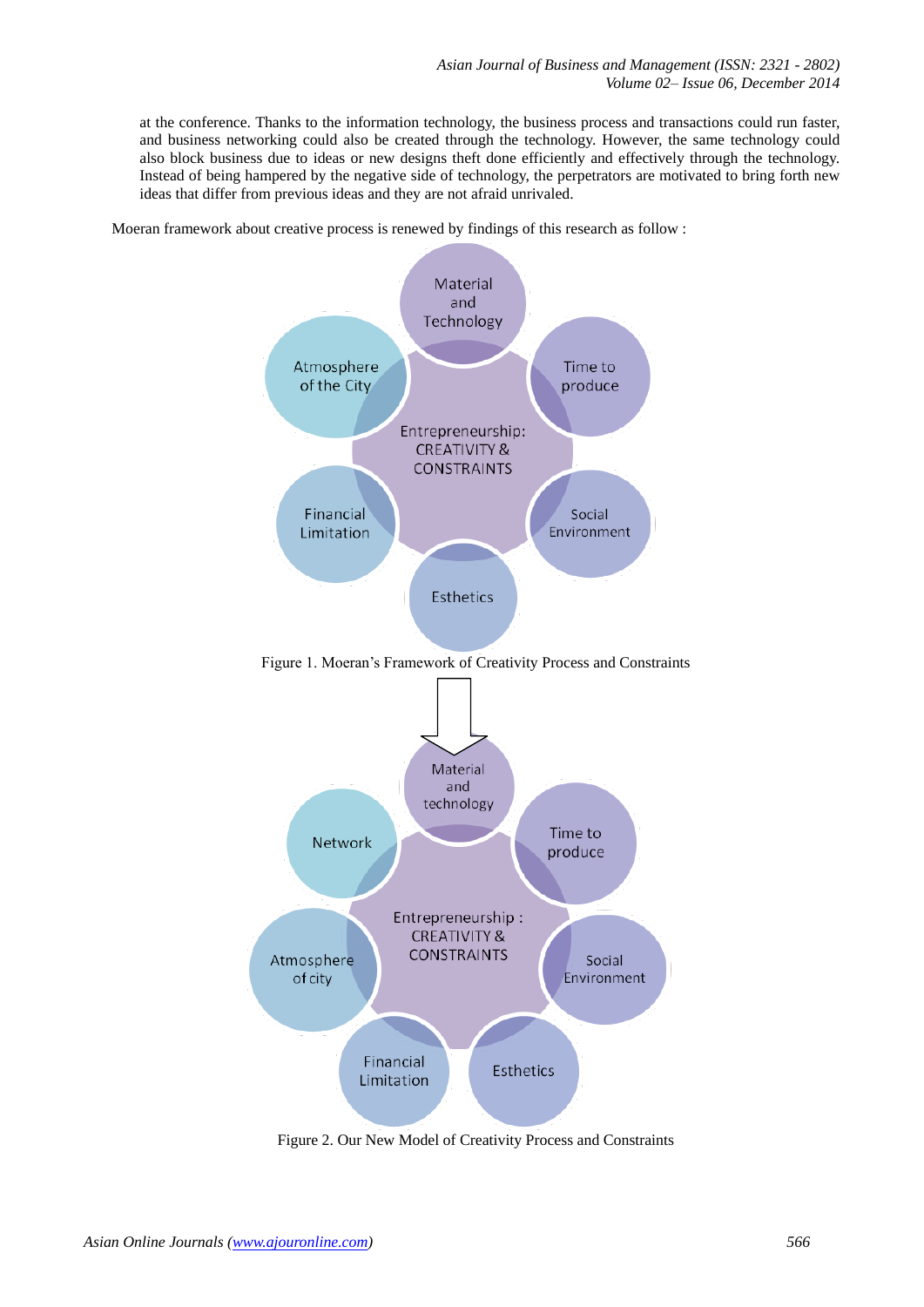at the conference. Thanks to the information technology, the business process and transactions could run faster, and business networking could also be created through the technology. However, the same technology could also block business due to ideas or new designs theft done efficiently and effectively through the technology. Instead of being hampered by the negative side of technology, the perpetrators are motivated to bring forth new ideas that differ from previous ideas and they are not afraid unrivaled.

Moeran framework about creative process is renewed by findings of this research as follow :



Figure 2. Our New Model of Creativity Process and Constraints